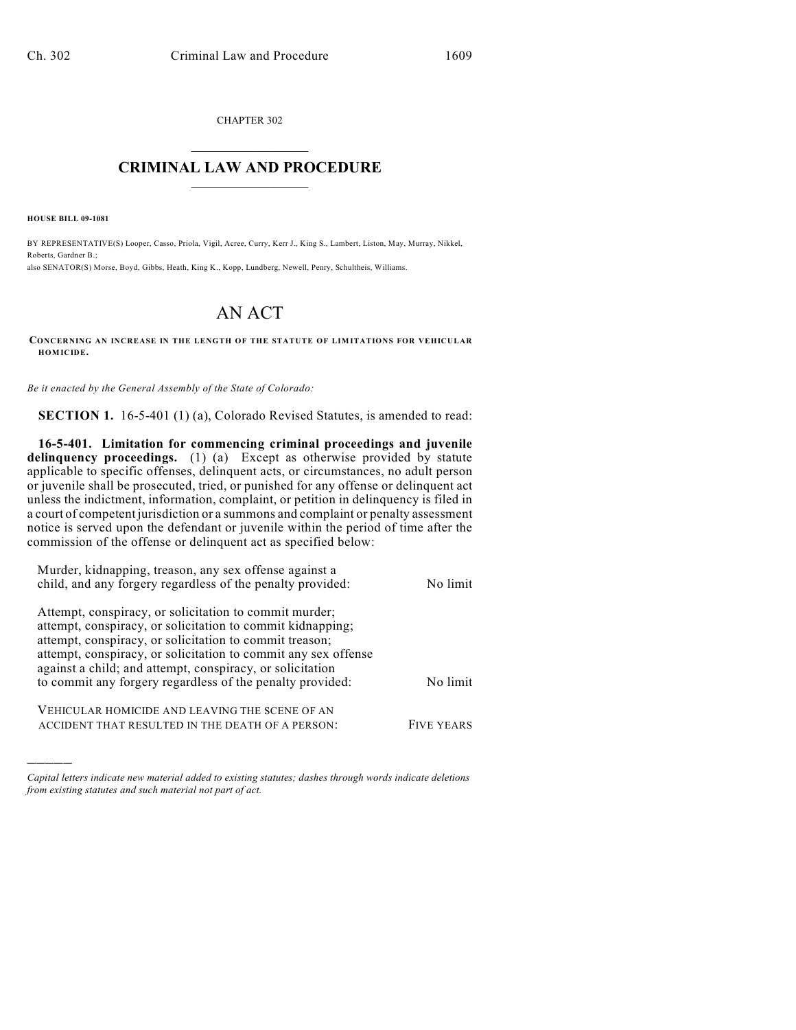CHAPTER 302  $\overline{\phantom{a}}$  . The set of the set of the set of the set of the set of the set of the set of the set of the set of the set of the set of the set of the set of the set of the set of the set of the set of the set of the set o

## **CRIMINAL LAW AND PROCEDURE**  $\frac{1}{2}$  ,  $\frac{1}{2}$  ,  $\frac{1}{2}$  ,  $\frac{1}{2}$  ,  $\frac{1}{2}$  ,  $\frac{1}{2}$  ,  $\frac{1}{2}$

**HOUSE BILL 09-1081**

)))))

BY REPRESENTATIVE(S) Looper, Casso, Priola, Vigil, Acree, Curry, Kerr J., King S., Lambert, Liston, May, Murray, Nikkel, Roberts, Gardner B.; also SENATOR(S) Morse, Boyd, Gibbs, Heath, King K., Kopp, Lundberg, Newell, Penry, Schultheis, Williams.

## AN ACT

**CONCERNING AN INCREASE IN THE LENGTH OF THE STATUTE OF LIM ITATIONS FOR VEHICULAR HOM ICIDE.**

*Be it enacted by the General Assembly of the State of Colorado:*

**SECTION 1.** 16-5-401 (1) (a), Colorado Revised Statutes, is amended to read:

**16-5-401. Limitation for commencing criminal proceedings and juvenile** delinquency proceedings. (1) (a) Except as otherwise provided by statute applicable to specific offenses, delinquent acts, or circumstances, no adult person or juvenile shall be prosecuted, tried, or punished for any offense or delinquent act unless the indictment, information, complaint, or petition in delinquency is filed in a court of competent jurisdiction or a summons and complaint or penalty assessment notice is served upon the defendant or juvenile within the period of time after the commission of the offense or delinquent act as specified below:

| No limit          |
|-------------------|
|                   |
| No limit          |
| <b>FIVE YEARS</b> |
|                   |

*Capital letters indicate new material added to existing statutes; dashes through words indicate deletions from existing statutes and such material not part of act.*